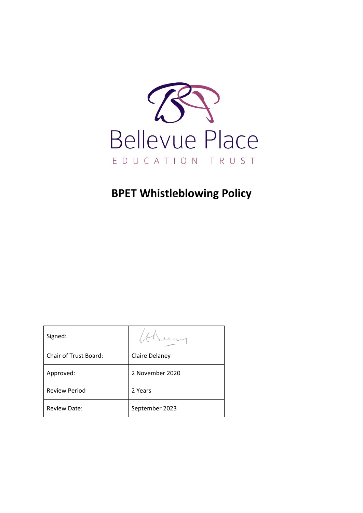

# **BPET Whistleblowing Policy**

| Signed:                      |                 |
|------------------------------|-----------------|
| <b>Chair of Trust Board:</b> | Claire Delaney  |
| Approved:                    | 2 November 2020 |
| <b>Review Period</b>         | 2 Years         |
| <b>Review Date:</b>          | September 2023  |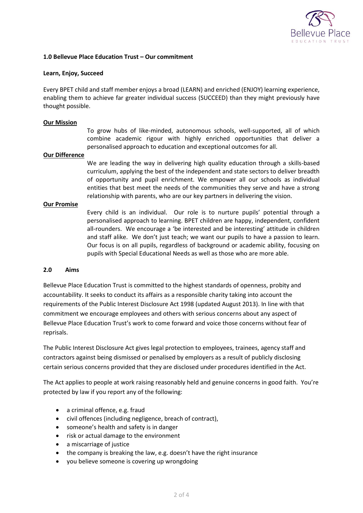

### **1.0 Bellevue Place Education Trust – Our commitment**

#### **Learn, Enjoy, Succeed**

Every BPET child and staff member enjoys a broad (LEARN) and enriched (ENJOY) learning experience, enabling them to achieve far greater individual success (SUCCEED) than they might previously have thought possible.

#### **Our Mission**

To grow hubs of like-minded, autonomous schools, well-supported, all of which combine academic rigour with highly enriched opportunities that deliver a personalised approach to education and exceptional outcomes for all.

#### **Our Difference**

We are leading the way in delivering high quality education through a skills-based curriculum, applying the best of the independent and state sectors to deliver breadth of opportunity and pupil enrichment. We empower all our schools as individual entities that best meet the needs of the communities they serve and have a strong relationship with parents, who are our key partners in delivering the vision.

#### **Our Promise**

Every child is an individual. Our role is to nurture pupils' potential through a personalised approach to learning. BPET children are happy, independent, confident all-rounders. We encourage a 'be interested and be interesting' attitude in children and staff alike. We don't just teach; we want our pupils to have a passion to learn. Our focus is on all pupils, regardless of background or academic ability, focusing on pupils with Special Educational Needs as well as those who are more able.

#### **2.0 Aims**

Bellevue Place Education Trust is committed to the highest standards of openness, probity and accountability. It seeks to conduct its affairs as a responsible charity taking into account the requirements of the Public Interest Disclosure Act 1998 (updated August 2013). In line with that commitment we encourage employees and others with serious concerns about any aspect of Bellevue Place Education Trust's work to come forward and voice those concerns without fear of reprisals.

The Public Interest Disclosure Act gives legal protection to employees, trainees, agency staff and contractors against being dismissed or penalised by employers as a result of publicly disclosing certain serious concerns provided that they are disclosed under procedures identified in the Act.

The Act applies to people at work raising reasonably held and genuine concerns in good faith. You're protected by law if you report any of the following:

- a criminal offence, e.g. fraud
- civil offences (including negligence, breach of contract),
- someone's health and safety is in danger
- risk or actual damage to the environment
- a miscarriage of justice
- the company is breaking the law, e.g. doesn't have the right insurance
- you believe someone is covering up wrongdoing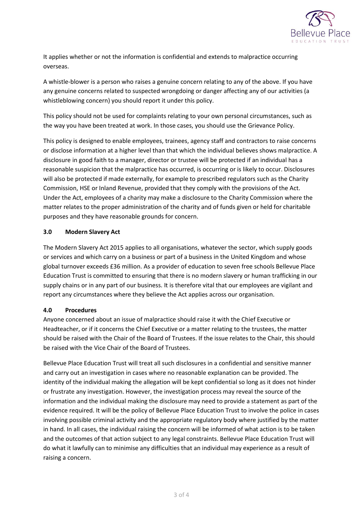

It applies whether or not the information is confidential and extends to malpractice occurring overseas.

A whistle-blower is a person who raises a genuine concern relating to any of the above. If you have any genuine concerns related to suspected wrongdoing or danger affecting any of our activities (a whistleblowing concern) you should report it under this policy.

This policy should not be used for complaints relating to your own personal circumstances, such as the way you have been treated at work. In those cases, you should use the Grievance Policy.

This policy is designed to enable employees, trainees, agency staff and contractors to raise concerns or disclose information at a higher level than that which the individual believes shows malpractice. A disclosure in good faith to a manager, director or trustee will be protected if an individual has a reasonable suspicion that the malpractice has occurred, is occurring or is likely to occur. Disclosures will also be protected if made externally, for example to prescribed regulators such as the Charity Commission, HSE or Inland Revenue, provided that they comply with the provisions of the Act. Under the Act, employees of a charity may make a disclosure to the Charity Commission where the matter relates to the proper administration of the charity and of funds given or held for charitable purposes and they have reasonable grounds for concern.

## **3.0 Modern Slavery Act**

The Modern Slavery Act 2015 applies to all organisations, whatever the sector, which supply goods or services and which carry on a business or part of a business in the United Kingdom and whose global turnover exceeds £36 million. As a provider of education to seven free schools Bellevue Place Education Trust is committed to ensuring that there is no modern slavery or human trafficking in our supply chains or in any part of our business. It is therefore vital that our employees are vigilant and report any circumstances where they believe the Act applies across our organisation.

## **4.0 Procedures**

Anyone concerned about an issue of malpractice should raise it with the Chief Executive or Headteacher, or if it concerns the Chief Executive or a matter relating to the trustees, the matter should be raised with the Chair of the Board of Trustees. If the issue relates to the Chair, this should be raised with the Vice Chair of the Board of Trustees.

Bellevue Place Education Trust will treat all such disclosures in a confidential and sensitive manner and carry out an investigation in cases where no reasonable explanation can be provided. The identity of the individual making the allegation will be kept confidential so long as it does not hinder or frustrate any investigation. However, the investigation process may reveal the source of the information and the individual making the disclosure may need to provide a statement as part of the evidence required. It will be the policy of Bellevue Place Education Trust to involve the police in cases involving possible criminal activity and the appropriate regulatory body where justified by the matter in hand. In all cases, the individual raising the concern will be informed of what action is to be taken and the outcomes of that action subject to any legal constraints. Bellevue Place Education Trust will do what it lawfully can to minimise any difficulties that an individual may experience as a result of raising a concern.